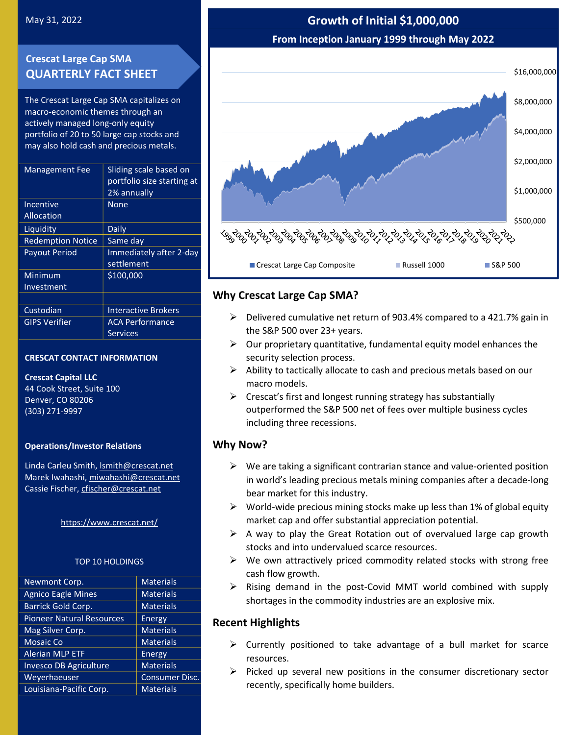# **Crescat Large Cap SMA QUARTERLY FACT SHEET**

The Crescat Large Cap SMA capitalizes on macro-economic themes through an actively managed long-only equity portfolio of 20 to 50 large cap stocks and may also hold cash and precious metals.

| <b>Management Fee</b>    | Sliding scale based on<br>portfolio size starting at<br>2% annually |
|--------------------------|---------------------------------------------------------------------|
| Incentive                | None                                                                |
| Allocation               |                                                                     |
| Liquidity                | Daily                                                               |
| <b>Redemption Notice</b> | Same day                                                            |
| <b>Payout Period</b>     | Immediately after 2-day<br>settlement                               |
| Minimum                  | \$100,000                                                           |
| Investment               |                                                                     |
|                          |                                                                     |
| Custodian                | <b>Interactive Brokers</b>                                          |
| <b>GIPS Verifier</b>     | <b>ACA Performance</b>                                              |
|                          | Services                                                            |
|                          |                                                                     |

### **CRESCAT CONTACT INFORMATION**

#### **Crescat Capital LLC**

44 Cook Street, Suite 100 Denver, CO 80206 (303) 271-9997

### **Operations/Investor Relations**

Linda Carleu Smith[, lsmith@crescat.net](mailto:lsmith@crescat.net) Marek Iwahashi, miwahashi@crescat.net Cassie Fischer, cfischer@crescat.net

### <https://www.crescat.net/>

### TOP 10 HOLDINGS

| Newmont Corp.                    | <b>Materials</b>      |
|----------------------------------|-----------------------|
| <b>Agnico Eagle Mines</b>        | <b>Materials</b>      |
| Barrick Gold Corp.               | <b>Materials</b>      |
| <b>Pioneer Natural Resources</b> | Energy                |
| Mag Silver Corp.                 | <b>Materials</b>      |
| <b>Mosaic Co</b>                 | <b>Materials</b>      |
| <b>Alerian MLP ETF</b>           | Energy                |
| Invesco DB Agriculture           | <b>Materials</b>      |
| Weyerhaeuser                     | <b>Consumer Disc.</b> |
| Louisiana-Pacific Corp.          | <b>Materials</b>      |

# May 31, 2022 **Growth of Initial \$1,000,000 From Inception January 1999 through May 2022**



## **Why Crescat Large Cap SMA?**

- $\triangleright$  Delivered cumulative net return of 903.4% compared to a 421.7% gain in the S&P 500 over 23+ years.
- $\triangleright$  Our proprietary quantitative, fundamental equity model enhances the security selection process.
- $\triangleright$  Ability to tactically allocate to cash and precious metals based on our macro models.
- $\triangleright$  Crescat's first and longest running strategy has substantially outperformed the S&P 500 net of fees over multiple business cycles including three recessions.

### **Why Now?**

- $\triangleright$  We are taking a significant contrarian stance and value-oriented position in world's leading precious metals mining companies after a decade-long bear market for this industry.
- $\triangleright$  World-wide precious mining stocks make up less than 1% of global equity market cap and offer substantial appreciation potential.
- $\triangleright$  A way to play the Great Rotation out of overvalued large cap growth stocks and into undervalued scarce resources.
- $\triangleright$  We own attractively priced commodity related stocks with strong free cash flow growth.
- ➢ Rising demand in the post-Covid MMT world combined with supply shortages in the commodity industries are an explosive mix.

### **Recent Highlights**

- $\triangleright$  Currently positioned to take advantage of a bull market for scarce resources.
- $\triangleright$  Picked up several new positions in the consumer discretionary sector recently, specifically home builders.